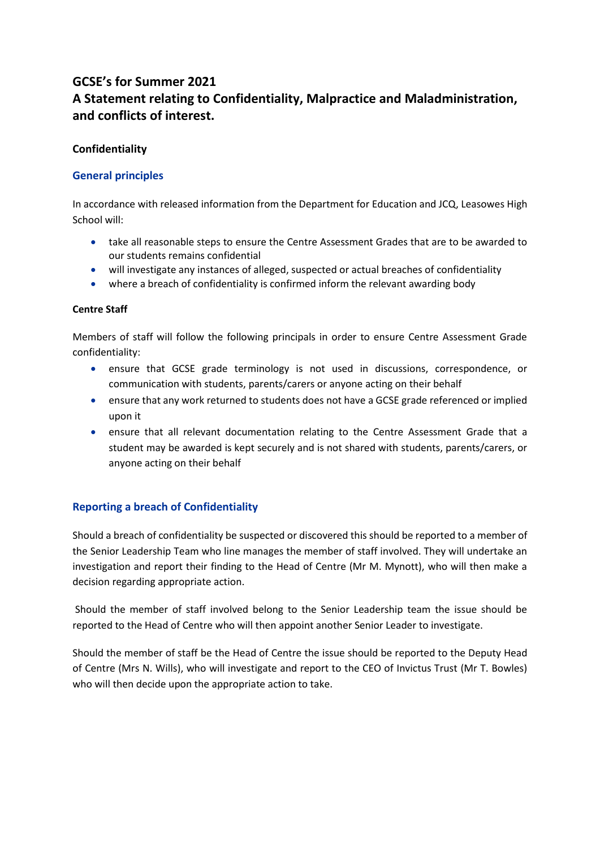# **GCSE's for Summer 2021 A Statement relating to Confidentiality, Malpractice and Maladministration, and conflicts of interest.**

### **Confidentiality**

### **General principles**

In accordance with released information from the Department for Education and JCQ, Leasowes High School will:

- take all reasonable steps to ensure the Centre Assessment Grades that are to be awarded to our students remains confidential
- will investigate any instances of alleged, suspected or actual breaches of confidentiality
- where a breach of confidentiality is confirmed inform the relevant awarding body

### **Centre Staff**

Members of staff will follow the following principals in order to ensure Centre Assessment Grade confidentiality:

- ensure that GCSE grade terminology is not used in discussions, correspondence, or communication with students, parents/carers or anyone acting on their behalf
- ensure that any work returned to students does not have a GCSE grade referenced or implied upon it
- ensure that all relevant documentation relating to the Centre Assessment Grade that a student may be awarded is kept securely and is not shared with students, parents/carers, or anyone acting on their behalf

## **Reporting a breach of Confidentiality**

Should a breach of confidentiality be suspected or discovered this should be reported to a member of the Senior Leadership Team who line manages the member of staff involved. They will undertake an investigation and report their finding to the Head of Centre (Mr M. Mynott), who will then make a decision regarding appropriate action.

Should the member of staff involved belong to the Senior Leadership team the issue should be reported to the Head of Centre who will then appoint another Senior Leader to investigate.

Should the member of staff be the Head of Centre the issue should be reported to the Deputy Head of Centre (Mrs N. Wills), who will investigate and report to the CEO of Invictus Trust (Mr T. Bowles) who will then decide upon the appropriate action to take.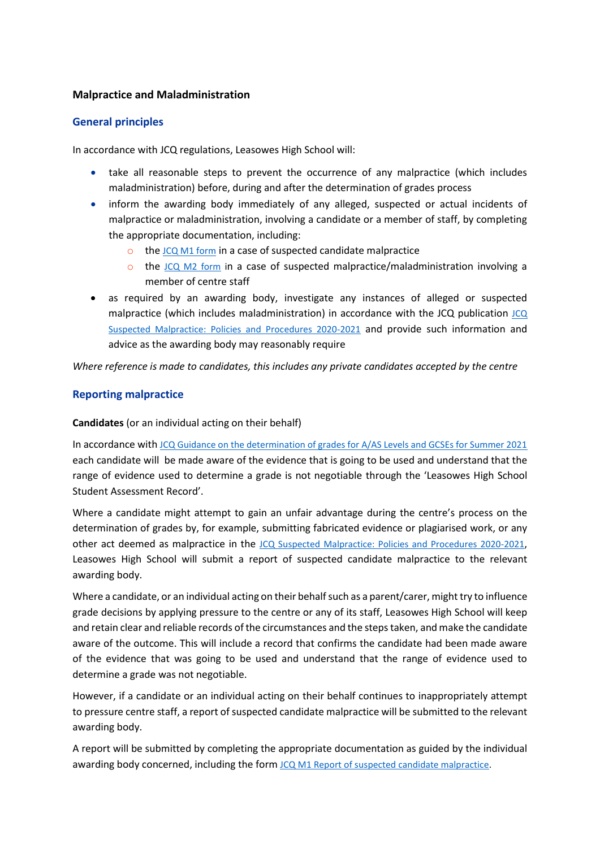### **Malpractice and Maladministration**

### **General principles**

In accordance with JCQ regulations, Leasowes High School will:

- take all reasonable steps to prevent the occurrence of any malpractice (which includes maladministration) before, during and after the determination of grades process
- inform the awarding body immediately of any alleged, suspected or actual incidents of malpractice or maladministration, involving a candidate or a member of staff, by completing the appropriate documentation, including:
	- $\circ$  the [JCQ M1 form](https://www.jcq.org.uk/exams-office/malpractice/) in a case of suspected candidate malpractice
	- $\circ$  the [JCQ M2 form](https://www.jcq.org.uk/exams-office/malpractice/) in a case of suspected malpractice/maladministration involving a member of centre staff
- as required by an awarding body, investigate any instances of alleged or suspected malpractice (which includes maladministration) in accordance with the JCQ publication [JCQ](https://www.jcq.org.uk/exams-office/malpractice/)  [Suspected Malpractice: Policies and Procedures 2020-2021](https://www.jcq.org.uk/exams-office/malpractice/) and provide such information and advice as the awarding body may reasonably require

*Where reference is made to candidates, this includes any private candidates accepted by the centre*

### **Reporting malpractice**

**Candidates** (or an individual acting on their behalf)

In accordance with [JCQ Guidance on the determination of grades for A/AS Levels and GCSEs for Summer 2021](https://www.jcq.org.uk/summer-2021-arrangements/) each candidate will be made aware of the evidence that is going to be used and understand that the range of evidence used to determine a grade is not negotiable through the 'Leasowes High School Student Assessment Record'.

Where a candidate might attempt to gain an unfair advantage during the centre's process on the determination of grades by, for example, submitting fabricated evidence or plagiarised work, or any other act deemed as malpractice in the [JCQ Suspected Malpractice: Policies and Procedures 2020-2021](https://www.jcq.org.uk/exams-office/malpractice/), Leasowes High School will submit a report of suspected candidate malpractice to the relevant awarding body.

Where a candidate, or an individual acting on their behalf such as a parent/carer, might try to influence grade decisions by applying pressure to the centre or any of its staff, Leasowes High School will keep and retain clear and reliable records of the circumstances and the steps taken, and make the candidate aware of the outcome. This will include a record that confirms the candidate had been made aware of the evidence that was going to be used and understand that the range of evidence used to determine a grade was not negotiable.

However, if a candidate or an individual acting on their behalf continues to inappropriately attempt to pressure centre staff, a report of suspected candidate malpractice will be submitted to the relevant awarding body.

A report will be submitted by completing the appropriate documentation as guided by the individual awarding body concerned, including the form [JCQ M1 Report of suspected candidate malpractice.](https://www.jcq.org.uk/exams-office/malpractice/)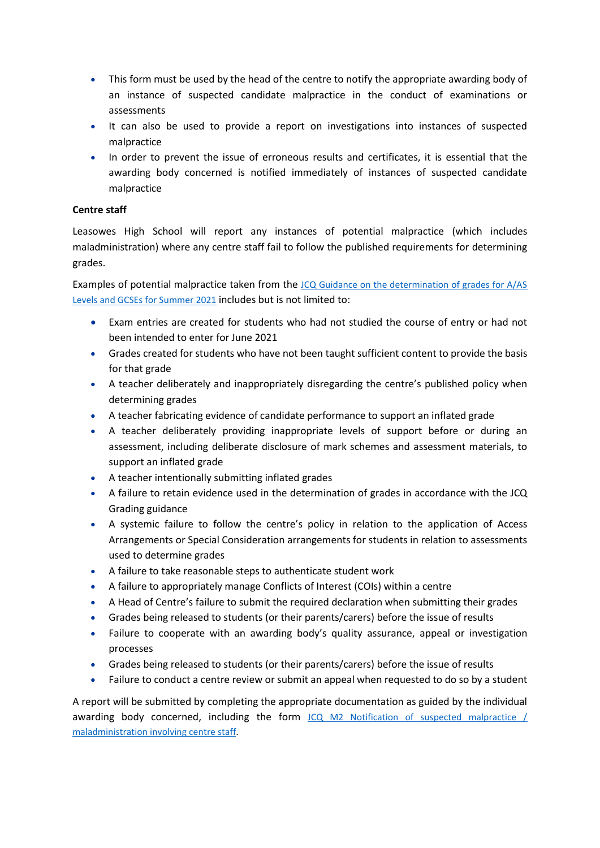- This form must be used by the head of the centre to notify the appropriate awarding body of an instance of suspected candidate malpractice in the conduct of examinations or assessments
- It can also be used to provide a report on investigations into instances of suspected malpractice
- In order to prevent the issue of erroneous results and certificates, it is essential that the awarding body concerned is notified immediately of instances of suspected candidate malpractice

### **Centre staff**

Leasowes High School will report any instances of potential malpractice (which includes maladministration) where any centre staff fail to follow the published requirements for determining grades.

Examples of potential malpractice taken from the [JCQ Guidance on the determination of grades for A/AS](https://www.jcq.org.uk/summer-2021-arrangements/)  [Levels and GCSEs for Summer 2021](https://www.jcq.org.uk/summer-2021-arrangements/) includes but is not limited to:

- Exam entries are created for students who had not studied the course of entry or had not been intended to enter for June 2021
- Grades created for students who have not been taught sufficient content to provide the basis for that grade
- A teacher deliberately and inappropriately disregarding the centre's published policy when determining grades
- A teacher fabricating evidence of candidate performance to support an inflated grade
- A teacher deliberately providing inappropriate levels of support before or during an assessment, including deliberate disclosure of mark schemes and assessment materials, to support an inflated grade
- A teacher intentionally submitting inflated grades
- A failure to retain evidence used in the determination of grades in accordance with the JCQ Grading guidance
- A systemic failure to follow the centre's policy in relation to the application of Access Arrangements or Special Consideration arrangements for students in relation to assessments used to determine grades
- A failure to take reasonable steps to authenticate student work
- A failure to appropriately manage Conflicts of Interest (COIs) within a centre
- A Head of Centre's failure to submit the required declaration when submitting their grades
- Grades being released to students (or their parents/carers) before the issue of results
- Failure to cooperate with an awarding body's quality assurance, appeal or investigation processes
- Grades being released to students (or their parents/carers) before the issue of results
- Failure to conduct a centre review or submit an appeal when requested to do so by a student

A report will be submitted by completing the appropriate documentation as guided by the individual awarding body concerned, including the form [JCQ M2 Notification of suspected malpractice /](https://www.jcq.org.uk/exams-office/malpractice/)  [maladministration involving centre staff.](https://www.jcq.org.uk/exams-office/malpractice/)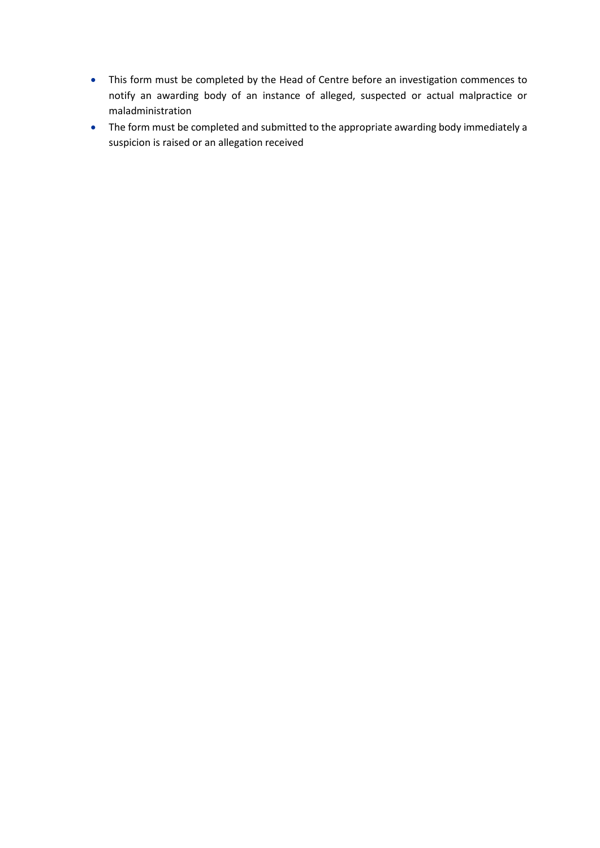- This form must be completed by the Head of Centre before an investigation commences to notify an awarding body of an instance of alleged, suspected or actual malpractice or maladministration
- The form must be completed and submitted to the appropriate awarding body immediately a suspicion is raised or an allegation received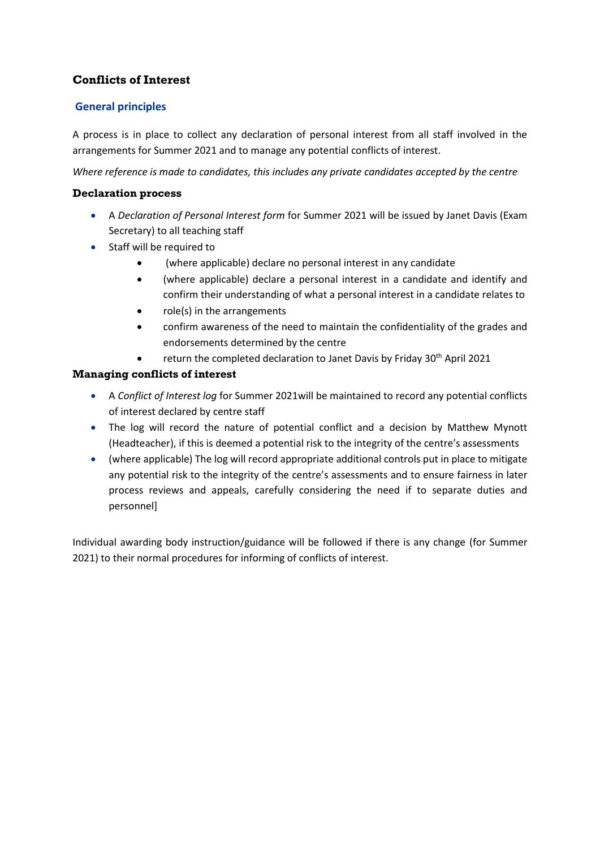## **Conflicts of Interest**

## **General principles**

A process is in place to collect any declaration of personal interest from all staff involved in the arrangements for Summer 2021 and to manage any potential conflicts of interest.

*Where reference is made to candidates, this includes any private candidates accepted by the centre*

### **Declaration process**

- A *Declaration of Personal Interest form* for Summer 2021 will be issued by Janet Davis (Exam Secretary) to all teaching staff
- Staff will be required to
	- (where applicable) declare no personal interest in any candidate
	- (where applicable) declare a personal interest in a candidate and identify and confirm their understanding of what a personal interest in a candidate relates to
	- role(s) in the arrangements
	- confirm awareness of the need to maintain the confidentiality of the grades and endorsements determined by the centre
	- return the completed declaration to Janet Davis by Friday 30<sup>th</sup> April 2021

## **Managing conflicts of interest**

- A *Conflict of Interest log* for Summer 2021will be maintained to record any potential conflicts of interest declared by centre staff
- The log will record the nature of potential conflict and a decision by Matthew Mynott (Headteacher), if this is deemed a potential risk to the integrity of the centre's assessments
- (where applicable) The log will record appropriate additional controls put in place to mitigate any potential risk to the integrity of the centre's assessments and to ensure fairness in later process reviews and appeals, carefully considering the need if to separate duties and personnel]

Individual awarding body instruction/guidance will be followed if there is any change (for Summer 2021) to their normal procedures for informing of conflicts of interest.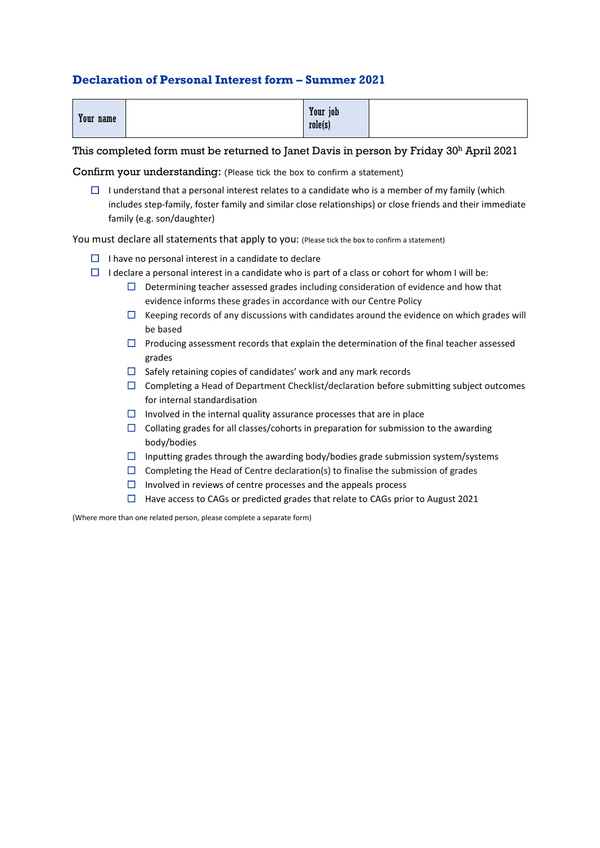## **Declaration of Personal Interest form – Summer 2021**

| Your name | Your job<br>role(s) |  |
|-----------|---------------------|--|
|-----------|---------------------|--|

#### This completed form must be returned to Janet Davis in person by Friday 30<sup>h</sup> April 2021

Confirm your understanding: (Please tick the box to confirm a statement)

 $\Box$  I understand that a personal interest relates to a candidate who is a member of my family (which includes step-family, foster family and similar close relationships) or close friends and their immediate family (e.g. son/daughter)

You must declare all statements that apply to you: (Please tick the box to confirm a statement)

- $\Box$  I have no personal interest in a candidate to declare
- $\Box$  I declare a personal interest in a candidate who is part of a class or cohort for whom I will be:
	- $\Box$  Determining teacher assessed grades including consideration of evidence and how that evidence informs these grades in accordance with our Centre Policy
	- $\Box$  Keeping records of any discussions with candidates around the evidence on which grades will be based
	- $\Box$  Producing assessment records that explain the determination of the final teacher assessed grades
	- $\Box$  Safely retaining copies of candidates' work and any mark records
	- $\Box$  Completing a Head of Department Checklist/declaration before submitting subject outcomes for internal standardisation
	- $\Box$  Involved in the internal quality assurance processes that are in place
	- $\square$  Collating grades for all classes/cohorts in preparation for submission to the awarding body/bodies
	- $\Box$  Inputting grades through the awarding body/bodies grade submission system/systems
	- $\Box$  Completing the Head of Centre declaration(s) to finalise the submission of grades
	- $\Box$  Involved in reviews of centre processes and the appeals process
	- $\Box$  Have access to CAGs or predicted grades that relate to CAGs prior to August 2021

(Where more than one related person, please complete a separate form)